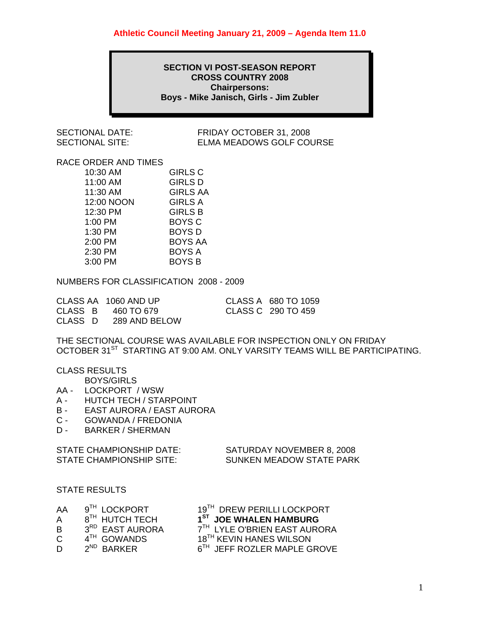### **SECTION VI POST-SEASON REPORT CROSS COUNTRY 2008 Chairpersons: Boys - Mike Janisch, Girls - Jim Zubler**

SECTIONAL DATE: FRIDAY OCTOBER 31, 2008 SECTIONAL SITE: ELMA MEADOWS GOLF COURSE

## RACE ORDER AND TIMES

| 10:30 AM   | <b>GIRLS C</b>  |
|------------|-----------------|
| 11:00 AM   | <b>GIRLS D</b>  |
| 11:30 AM   | <b>GIRLS AA</b> |
| 12:00 NOON | <b>GIRLS A</b>  |
| 12:30 PM   | <b>GIRLS B</b>  |
| 1:00 PM    | <b>BOYS C</b>   |
| 1:30 PM    | <b>BOYS D</b>   |
| 2:00 PM    | <b>BOYS AA</b>  |
| 2:30 PM    | <b>BOYS A</b>   |
| 3:00 PM    | <b>BOYS B</b>   |

NUMBERS FOR CLASSIFICATION 2008 - 2009

| CLASS AA 1060 AND UP  | CLASS A 680 TO 1059 |
|-----------------------|---------------------|
| CLASS B $460$ TO 679  | CLASS C 290 TO 459  |
| CLASS D 289 AND BELOW |                     |

THE SECTIONAL COURSE WAS AVAILABLE FOR INSPECTION ONLY ON FRIDAY OCTOBER 31<sup>ST</sup> STARTING AT 9:00 AM. ONLY VARSITY TEAMS WILL BE PARTICIPATING.

CLASS RESULTS

BOYS/GIRLS

- AA LOCKPORT / WSW
- A HUTCH TECH / STARPOINT
- B EAST AURORA / EAST AURORA
- C GOWANDA / FREDONIA
- D BARKER / SHERMAN

| STATE CHAMPIONSHIP DATE: | SATURDAY NOVEMBER 8, 2008 |
|--------------------------|---------------------------|
| STATE CHAMPIONSHIP SITE: | SUNKEN MEADOW STATE PARK  |

STATE RESULTS

| AA | $9^{TH}$ LOCKPORT          | 19 <sup>TH</sup> DREW PERILLI LOCKPORT |
|----|----------------------------|----------------------------------------|
|    | 8 <sup>TH</sup> HUTCH TECH | 1 <sup>ST</sup> JOE WHALEN HAMBURG     |

- A 8<sup>TH</sup> HUTCH TECH **1<sup>ST</sup> JOE WHALEN HAMBURG**<br>B 3<sup>RD</sup> EAST AURORA 7<sup>TH</sup> LYLE O'BRIEN EAST AURC
- 
- 
- 
- B  $3^{RD}$  EAST AURORA  $7^{TH}$  LYLE O'BRIEN EAST AURORA<br>C  $4^{TH}$  GOWANDS  $18^{TH}$  KEVIN HANES WILSON
- $4^{TH}$  GOWANDS  $2^{ND}$  BARKER  $2^{ND}$  BARKER  $6^{TH}$  JEFF ROZLER MAPLE G D 2<sup>ND</sup> BARKER 6<sup>TH</sup> JEFF ROZLER MAPLE GROVE